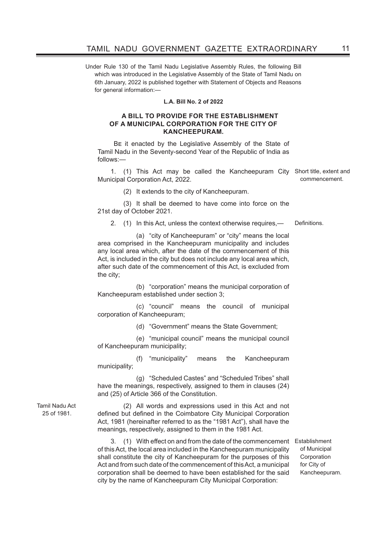Under Rule 130 of the Tamil Nadu Legislative Assembly Rules, the following Bill which was introduced in the Legislative Assembly of the State of Tamil Nadu on 6th January, 2022 is published together with Statement of Objects and Reasons for general information:-

#### **L.A. Bill No. 2 of 2022**

#### **A BILL TO PROVIDE FOR THE ESTABLISHMENT OF A MUNICIPAL CORPORATION FOR THE CITY OF KANCHEEPURAM.**

Be it enacted by the Legislative Assembly of the State of Tamil Nadu in the Seventy-second Year of the Republic of India as follows:—

1. (1) This Act may be called the Kancheepuram City Short title, extent and Municipal Corporation Act, 2022.

(2) It extends to the city of Kancheepuram.

(3) It shall be deemed to have come into force on the 21st day of October 2021.

2. (1) In this Act, unless the context otherwise requires,- Definitions.

 (a) "city of Kancheepuram" or "city" means the local area comprised in the Kancheepuram municipality and includes any local area which, after the date of the commencement of this Act, is included in the city but does not include any local area which, after such date of the commencement of this Act, is excluded from the city;

 (b) "corporation" means the municipal corporation of Kancheepuram established under section 3;

 (c) "council" means the council of municipal corporation of Kancheepuram;

(d) "Government" means the State Government;

 (e) "municipal council" means the municipal council of Kancheepuram municipality;

 (f) "municipality" means the Kancheepuram municipality;

 (g) "Scheduled Castes" and "Scheduled Tribes" shall have the meanings, respectively, assigned to them in clauses (24) and (25) of Article 366 of the Constitution.

Tamil Nadu Act 25 of 1981.

(2) All words and expressions used in this Act and not defined but defined in the Coimbatore City Municipal Corporation Act, 1981 (hereinafter referred to as the "1981 Act"), shall have the meanings, respectively, assigned to them in the 1981 Act.

3. (1) With effect on and from the date of the commencement Establishment of this Act, the local area included in the Kancheepuram municipality shall constitute the city of Kancheepuram for the purposes of this Act and from such date of the commencement of this Act, a municipal corporation shall be deemed to have been established for the said city by the name of Kancheepuram City Municipal Corporation:

of Municipal Corporation for City of Kancheepuram.

commencement.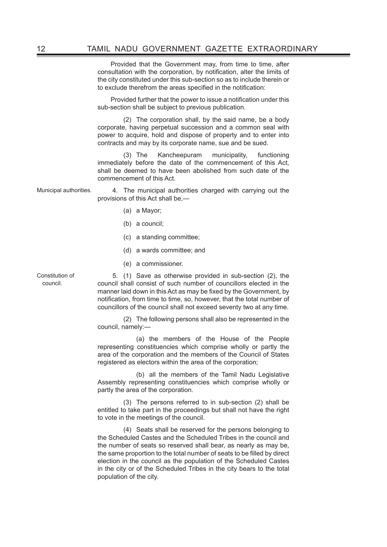Provided that the Government may, from time to time, after consultation with the corporation, by notification, alter the limits of the city constituted under this sub-section so as to include therein or to exclude therefrom the areas specified in the notification:

Provided further that the power to issue a notification under this sub-section shall be subject to previous publication.

(2) The corporation shall, by the said name, be a body corporate, having perpetual succession and a common seal with power to acquire, hold and dispose of property and to enter into contracts and may by its corporate name, sue and be sued.

(3) The Kancheepuram municipality, functioning immediately before the date of the commencement of this Act, shall be deemed to have been abolished from such date of the commencement of this Act.

Municipal authorities. 4. The municipal authorities charged with carrying out the provisions of this Act shall be,—

- (a) a Mayor;
- (b) a council;
- (c) a standing committee;
- (d) a wards committee; and
- (e) a commissioner.

Constitution of council.

 5. (1) Save as otherwise provided in sub-section (2), the council shall consist of such number of councillors elected in the manner laid down in this Act as may be fixed by the Government, by notification, from time to time, so, however, that the total number of councillors of the council shall not exceed seventy two at any time.

(2) The following persons shall also be represented in the council, namely:—

 (a) the members of the House of the People representing constituencies which comprise wholly or partly the area of the corporation and the members of the Council of States registered as electors within the area of the corporation;

 (b) all the members of the Tamil Nadu Legislative Assembly representing constituencies which comprise wholly or partly the area of the corporation.

(3) The persons referred to in sub-section (2) shall be entitled to take part in the proceedings but shall not have the right to vote in the meetings of the council.

(4) Seats shall be reserved for the persons belonging to the Scheduled Castes and the Scheduled Tribes in the council and the number of seats so reserved shall bear, as nearly as may be, the same proportion to the total number of seats to be filled by direct election in the council as the population of the Scheduled Castes in the city or of the Scheduled Tribes in the city bears to the total population of the city.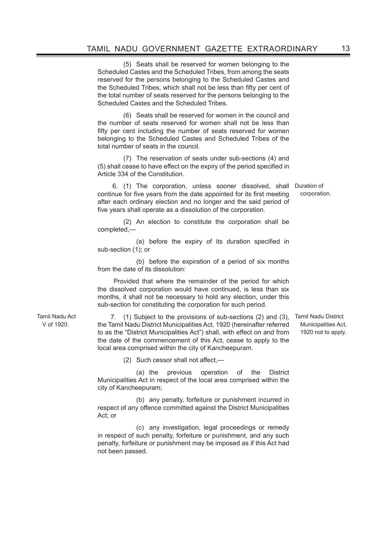(5) Seats shall be reserved for women belonging to the Scheduled Castes and the Scheduled Tribes, from among the seats reserved for the persons belonging to the Scheduled Castes and the Scheduled Tribes, which shall not be less than fifty per cent of the total number of seats reserved for the persons belonging to the Scheduled Castes and the Scheduled Tribes.

(6) Seats shall be reserved for women in the council and the number of seats reserved for women shall not be less than fifty per cent including the number of seats reserved for women belonging to the Scheduled Castes and Scheduled Tribes of the total number of seats in the council.

(7) The reservation of seats under sub-sections (4) and (5) shall cease to have effect on the expiry of the period specified in Article 334 of the Constitution.

 6. (1) The corporation, unless sooner dissolved, shall Duration of continue for five years from the date appointed for its first meeting after each ordinary election and no longer and the said period of five years shall operate as a dissolution of the corporation.

(2) An election to constitute the corporation shall be completed,—

 (a) before the expiry of its duration specified in sub-section (1); or

 (b) before the expiration of a period of six months from the date of its dissolution:

 Provided that where the remainder of the period for which the dissolved corporation would have continued, is less than six months, it shall not be necessary to hold any election, under this sub-section for constituting the corporation for such period.

7. (1) Subject to the provisions of sub-sections (2) and (3), Tamil Nadu District the Tamil Nadu District Municipalities Act, 1920 (hereinafter referred to as the "District Municipalities Act") shall, with effect on and from the date of the commencement of this Act, cease to apply to the local area comprised within the city of Kancheepuram.

 (2) Such cessor shall not affect,—

Tamil Nadu Act V of 1920.

> (a) the previous operation of the District Municipalities Act in respect of the local area comprised within the city of Kancheepuram;

> (b) any penalty, forfeiture or punishment incurred in respect of any offence committed against the District Municipalities Act; or

> (c) any investigation, legal proceedings or remedy in respect of such penalty, forfeiture or punishment, and any such penalty, forfeiture or punishment may be imposed as if this Act had not been passed.

Municipalities Act, 1920 not to apply.

corporation.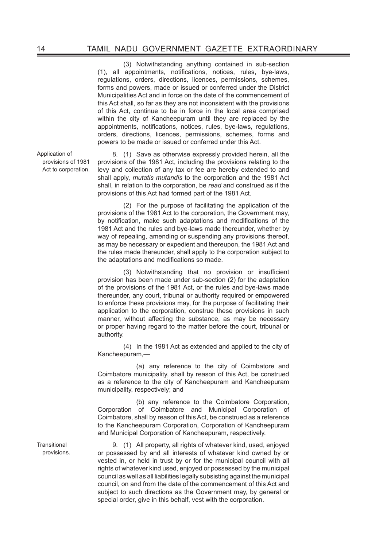(3) Notwithstanding anything contained in sub-section (1), all appointments, notifications, notices, rules, bye-laws, regulations, orders, directions, licences, permissions, schemes, forms and powers, made or issued or conferred under the District Municipalities Act and in force on the date of the commencement of this Act shall, so far as they are not inconsistent with the provisions of this Act, continue to be in force in the local area comprised within the city of Kancheepuram until they are replaced by the appointments, notifications, notices, rules, bye-laws, regulations, orders, directions, licences, permissions, schemes, forms and powers to be made or issued or conferred under this Act.

8. (1) Save as otherwise expressly provided herein, all the provisions of the 1981 Act, including the provisions relating to the levy and collection of any tax or fee are hereby extended to and shall apply, *mutatis mutandis* to the corporation and the 1981 Act shall, in relation to the corporation, be *read* and construed as if the provisions of this Act had formed part of the 1981 Act.

(2) For the purpose of facilitating the application of the provisions of the 1981 Act to the corporation, the Government may, by notification, make such adaptations and modifications of the 1981 Act and the rules and bye-laws made thereunder, whether by way of repealing, amending or suspending any provisions thereof, as may be necessary or expedient and thereupon, the 1981 Act and the rules made thereunder, shall apply to the corporation subject to the adaptations and modifications so made.

 (3) Notwithstanding that no provision or insufficient provision has been made under sub-section (2) for the adaptation of the provisions of the 1981 Act, or the rules and bye-laws made thereunder, any court, tribunal or authority required or empowered to enforce these provisions may, for the purpose of facilitating their application to the corporation, construe these provisions in such manner, without affecting the substance, as may be necessary or proper having regard to the matter before the court, tribunal or authority.

(4) In the 1981 Act as extended and applied to the city of Kancheepuram,—

 (a) any reference to the city of Coimbatore and Coimbatore municipality, shall by reason of this Act, be construed as a reference to the city of Kancheepuram and Kancheepuram municipality, respectively; and

 (b) any reference to the Coimbatore Corporation, Corporation of Coimbatore and Municipal Corporation of Coimbatore, shall by reason of this Act, be construed as a reference to the Kancheepuram Corporation, Corporation of Kancheepuram and Municipal Corporation of Kancheepuram, respectively.

9. (1) All property, all rights of whatever kind, used, enjoyed or possessed by and all interests of whatever kind owned by or vested in, or held in trust by or for the municipal council with all rights of whatever kind used, enjoyed or possessed by the municipal council as well as all liabilities legally subsisting against the municipal council, on and from the date of the commencement of this Act and subject to such directions as the Government may, by general or special order, give in this behalf, vest with the corporation.

Application of provisions of 1981 Act to corporation.

**Transitional** provisions.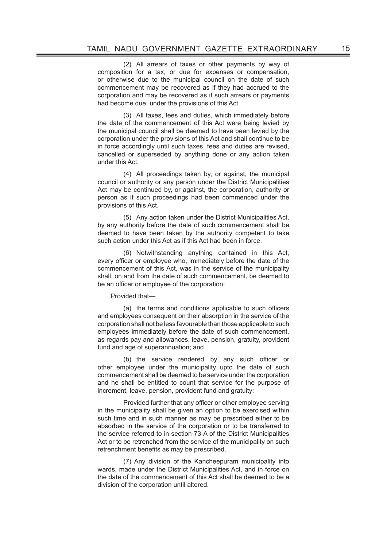(2) All arrears of taxes or other payments by way of composition for a tax, or due for expenses or compensation, or otherwise due to the municipal council on the date of such commencement may be recovered as if they had accrued to the corporation and may be recovered as if such arrears or payments had become due, under the provisions of this Act.

(3) All taxes, fees and duties, which immediately before the date of the commencement of this Act were being levied by the municipal council shall be deemed to have been levied by the corporation under the provisions of this Act and shall continue to be in force accordingly until such taxes, fees and duties are revised, cancelled or superseded by anything done or any action taken under this Act.

(4) All proceedings taken by, or against, the municipal council or authority or any person under the District Municipalities Act may be continued by, or against, the corporation, authority or person as if such proceedings had been commenced under the provisions of this Act.

(5) Any action taken under the District Municipalities Act, by any authority before the date of such commencement shall be deemed to have been taken by the authority competent to take such action under this Act as if this Act had been in force.

(6) Notwithstanding anything contained in this Act, every officer or employee who, immediately before the date of the commencement of this Act, was in the service of the municipality shall, on and from the date of such commencement, be deemed to be an officer or employee of the corporation:

### Provided that—

 (a) the terms and conditions applicable to such officers and employees consequent on their absorption in the service of the corporation shall not be less favourable than those applicable to such employees immediately before the date of such commencement, as regards pay and allowances, leave, pension, gratuity, provident fund and age of superannuation; and

(b) the service rendered by any such officer or other employee under the municipality upto the date of such commencement shall be deemed to be service under the corporation and he shall be entitled to count that service for the purpose of increment, leave, pension, provident fund and gratuity:

 Provided further that any officer or other employee serving in the municipality shall be given an option to be exercised within such time and in such manner as may be prescribed either to be absorbed in the service of the corporation or to be transferred to the service referred to in section 73-A of the District Municipalities Act or to be retrenched from the service of the municipality on such retrenchment benefits as may be prescribed.

(7) Any division of the Kancheepuram municipality into wards, made under the District Municipalities Act, and in force on the date of the commencement of this Act shall be deemed to be a division of the corporation until altered.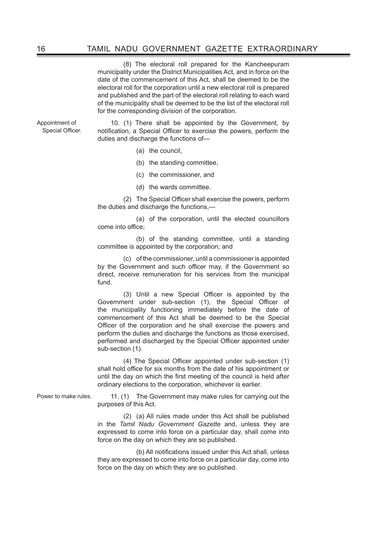(8) The electoral roll prepared for the Kancheepuram municipality under the District Municipalities Act, and in force on the date of the commencement of this Act, shall be deemed to be the electoral roll for the corporation until a new electoral roll is prepared and published and the part of the electoral roll relating to each ward of the municipality shall be deemed to be the list of the electoral roll for the corresponding division of the corporation.

Appointment of Special Officer.

10. (1) There shall be appointed by the Government, by notification, a Special Officer to exercise the powers, perform the duties and discharge the functions of—

- (a) the council,
- (b) the standing committee,
- (c) the commissioner, and
- (d) the wards committee.

 (2) The Special Officer shall exercise the powers, perform the duties and discharge the functions,—

 (a) of the corporation, until the elected councillors come into office;

 (b) of the standing committee, until a standing committee is appointed by the corporation; and

(c) of the commissioner, until a commissioner is appointed by the Government and such officer may, if the Government so direct, receive remuneration for his services from the municipal fund.

 (3) Until a new Special Officer is appointed by the Government under sub-section (1), the Special Officer of the municipality functioning immediately before the date of commencement of this Act shall be deemed to be the Special Officer of the corporation and he shall exercise the powers and perform the duties and discharge the functions as those exercised, performed and discharged by the Special Officer appointed under sub-section (1).

 (4) The Special Officer appointed under sub-section (1) shall hold office for six months from the date of his appointment or until the day on which the first meeting of the council is held after ordinary elections to the corporation, whichever is earlier.

Power to make rules. 11. (1) The Government may make rules for carrying out the purposes of this Act.

> (2) (a) All rules made under this Act shall be published in the *Tamil Nadu Government Gazette* and, unless they are expressed to come into force on a particular day, shall come into force on the day on which they are so published.

> (b) All notifications issued under this Act shall, unless they are expressed to come into force on a particular day, come into force on the day on which they are so published.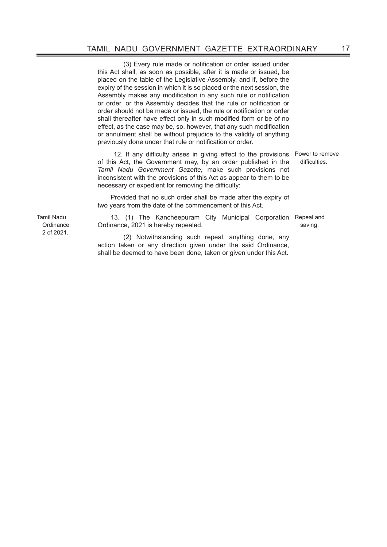(3) Every rule made or notification or order issued under this Act shall, as soon as possible, after it is made or issued, be placed on the table of the Legislative Assembly, and if, before the expiry of the session in which it is so placed or the next session, the Assembly makes any modification in any such rule or notification or order, or the Assembly decides that the rule or notification or order should not be made or issued, the rule or notification or order shall thereafter have effect only in such modified form or be of no effect, as the case may be, so, however, that any such modification or annulment shall be without prejudice to the validity of anything previously done under that rule or notification or order.

12. If any difficulty arises in giving effect to the provisions Power to remove of this Act, the Government may, by an order published in the *Tamil Nadu Government Gazette,* make such provisions not inconsistent with the provisions of this Act as appear to them to be necessary or expedient for removing the difficulty:

Provided that no such order shall be made after the expiry of two years from the date of the commencement of this Act.

13. (1) The Kancheepuram City Municipal Corporation Repeal and Ordinance, 2021 is hereby repealed.

(2) Notwithstanding such repeal, anything done, any action taken or any direction given under the said Ordinance, shall be deemed to have been done, taken or given under this Act.

Tamil Nadu **Ordinance** 2 of 2021.

difficulties.

saving.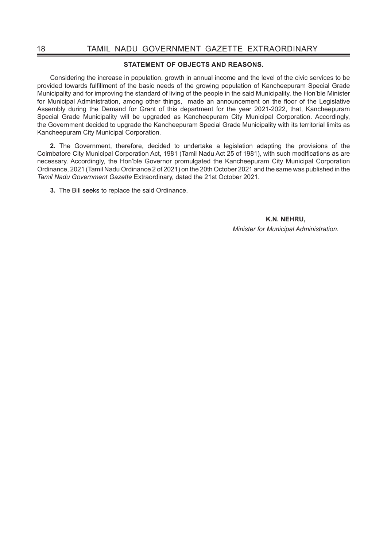## **STATEMENT OF OBJECTS AND REASONS.**

Considering the increase in population, growth in annual income and the level of the civic services to be provided towards fulfillment of the basic needs of the growing population of Kancheepuram Special Grade Municipality and for improving the standard of living of the people in the said Municipality, the Hon'ble Minister for Municipal Administration, among other things, made an announcement on the floor of the Legislative Assembly during the Demand for Grant of this department for the year 2021-2022, that, Kancheepuram Special Grade Municipality will be upgraded as Kancheepuram City Municipal Corporation. Accordingly, the Government decided to upgrade the Kancheepuram Special Grade Municipality with its territorial limits as Kancheepuram City Municipal Corporation.

**2.** The Government, therefore, decided to undertake a legislation adapting the provisions of the Coimbatore City Municipal Corporation Act, 1981 (Tamil Nadu Act 25 of 1981), with such modifications as are necessary. Accordingly, the Hon'ble Governor promulgated the Kancheepuram City Municipal Corporation Ordinance, 2021 (Tamil Nadu Ordinance 2 of 2021) on the 20th October 2021 and the same was published in the *Tamil Nadu Government Gazette* Extraordinary, dated the 21st October 2021.

**3.** The Bill seeks to replace the said Ordinance.

**K.N. NEHRU,** *Minister for Municipal Administration.*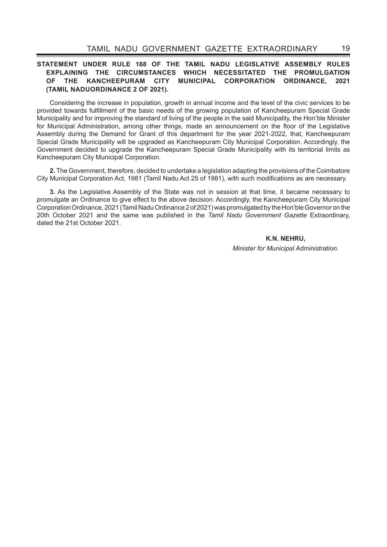## **STATEMENT UNDER RULE 168 OF THE TAMIL NADU LEGISLATIVE ASSEMBLY RULES EXPLAINING THE CIRCUMSTANCES WHICH NECESSITATED THE PROMULGATION OF THE KANCHEEPURAM CITY MUNICIPAL CORPORATION ORDINANCE, 2021 (TAMIL NADUORDINANCE 2 OF 2021).**

Considering the increase in population, growth in annual income and the level of the civic services to be provided towards fulfillment of the basic needs of the growing population of Kancheepuram Special Grade Municipality and for improving the standard of living of the people in the said Municipality, the Hon'ble Minister for Municipal Administration, among other things, made an announcement on the floor of the Legislative Assembly during the Demand for Grant of this department for the year 2021-2022, that, Kancheepuram Special Grade Municipality will be upgraded as Kancheepuram City Municipal Corporation. Accordingly, the Government decided to upgrade the Kancheepuram Special Grade Municipality with its territorial limits as Kancheepuram City Municipal Corporation.

**2.** The Government, therefore, decided to undertake a legislation adapting the provisions of the Coimbatore City Municipal Corporation Act, 1981 (Tamil Nadu Act 25 of 1981), with such modifications as are necessary.

**3.** As the Legislative Assembly of the State was not in session at that time, it became necessary to promulgate an Ordinance to give effect to the above decision. Accordingly, the Kancheepuram City Municipal Corporation Ordinance, 2021 (Tamil Nadu Ordinance 2 of 2021) was promulgated by the Hon'ble Governor on the 20th October 2021 and the same was published in the *Tamil Nadu Government Gazette* Extraordinary, dated the 21st October 2021.

**K.N. NEHRU,**

*Minister for Municipal Administration.*